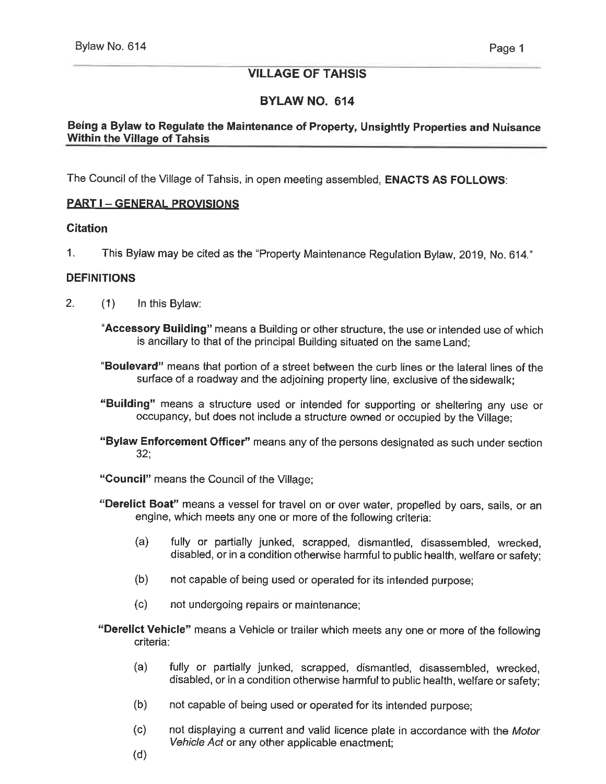# VILLAGE OF TAHSIS

## BYLAW NO. 614

## Being a Bylaw to Regulate the Maintenance of Property, Unsightly Properties and Nuisance Within the Village of Tahsis

The Council of the Village of Tahsis, in open meeting assembled, **ENACTS AS FOLLOWS:** 

## <u>PART I – GENERAL PROVISIONS</u>

#### **Citation**

1. This Bylaw may be cited as the "Property Maintenance Regulation Bylaw, 2019, No. 614"

## **DEFINITIONS**

- 2. (1) In this Bylaw:
	- "Accessory Building" means a Building or other structure, the use or intended use of which is ancillary to that of the principal Building situated on the same Land;
	- "Boulevard" means that portion of a street between the curb lines or the lateral lines of the surface of a roadway and the adjoining property line, exclusive of the sidewalk;
	- "Building" means a structure used or intended for supporting or sheltering any use or occupancy, but does not include a structure owned or occupied by the Village;
	- "Bylaw Enforcement Officer" means any of the persons designated as such under section 32;
	- "Council" means the Council of the Village;
	- "Derelict Boat" means a vessel for travel on or over water, propelled by oars, sails, or an engine, which meets any one or more of the following criteria:
		- (a) fully or partially junked, scrapped, dismantled, disassembled, wrecked, disabled, or in a condition otherwise harmful to public health, welfare or safety;
		- (b) not capable of being used or operated for its intended purpose;
		- (c) not undergoing repairs or maintenance;
	- "Derelict Vehicle" means a Vehicle or trailer which meets any one or more of the following criteria:
		- (a) fully or partially junked, scrapped, dismantled, disassembled, wrecked, disabled, or in a condition otherwise harmful to public health, welfare or safety;
		- (b) not capable of being used or operated for its intended purpose;
		- (c) not displaying a current and valid licence plate in accordance with the Motor Vehicle Act or any other applicable enactment;
		- (d)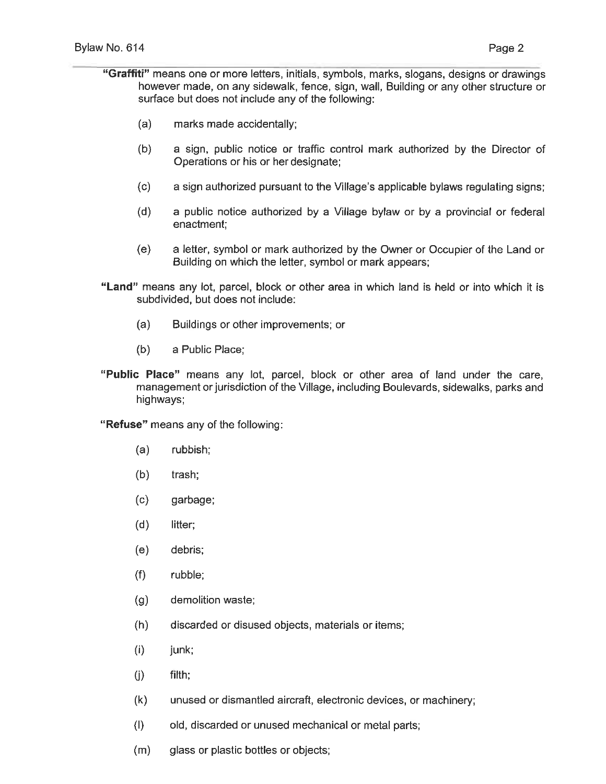- "Graffiti" means one or more letters, initials, symbols, marks, slogans, designs or drawings however made, on any sidewalk, fence, sign, wall, Building or any other structure or surface but does not include any of the following:
	- (a) marks made accidentally;
	- (b) a sign, public notice or traffic control mark authorized by the Director of Operations or his or her designate;
	- (c) a sign authorized pursuant to the Village's applicable bylaws regulating signs;
	- (d) a public notice authorized by a Village bylaw or by a provincial or federal enactment;
	- (e) a letter, symbol or mark authorized by the Owner or Occupier of the Land or Building on which the letter, symbol or mark appears;
- "Land" means any lot, parcel, block or other area in which land is held or into which it is subdivided, but does not include:
	- (a) Buildings or other improvements; or
	- (b) a Public Place;
- "Public Place" means any lot, parcel, block or other area of land under the care, management or jurisdiction of the Village, including Boulevards, sidewalks, parks and highways;

"Refuse" means any of the following:

- (a) rubbish;
- (b) trash;
- (c) garbage;
- (d) litter;
- (e) debris;
- (f) rubble;
- (g) demolition waste;
- (h) discarded or disused objects, materials or items;
- $(i)$  junk;
- (j) filth;
- (k) unused or dismantled aircraft, electronic devices, or machinery;
- (I) old, discarded or unused mechanical or metal parts;
- (m) glass or plastic bottles or objects;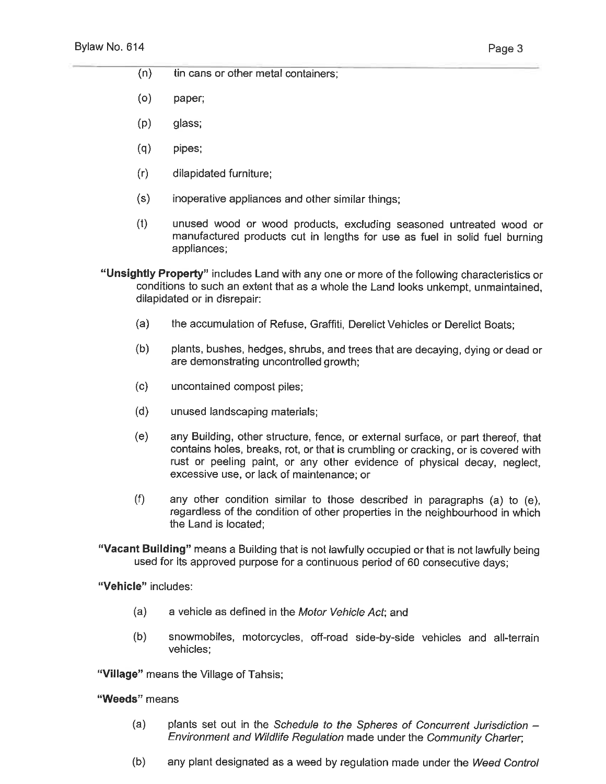(n) tin cans or other metal containers;

- (0) paper;
- (p) glass;
- (q) pipes;
- (r) dilapidated furniture;
- (s) inoperative appliances and other similar things;
- (t) unused wood or wood products, excluding seasoned untreated wood or manufactured products cut in lengths for use as fuel in solid fuel burning appliances;
- "Unsightly Property" includes Land with any one or more of the following characteristics or conditions to such an extent that as a whole the Land looks unkempt, unmaintained, dilapidated or in disrepair:
	- (a) the accumulation of Refuse, Graffiti, Derelict Vehicles or Derelict Boats;
	- (b) plants, bushes, hedges, shrubs, and trees that are decaying, dying or dead or are demonstrating uncontrolled growth;
	- (c) uncontained compost piles;
	- (d) unused landscaping materials;
	- (e) any Building, other structure, fence, or external surface, or part thereof, that contains holes, breaks, rot, or that is crumbling or cracking, or is covered with rust or peeling paint, or any other evidence of physical decay, neglect, excessive use, or lack of maintenance; or
	- (f) any other condition similar to those described in paragraphs (a) to (e), regardless of the condition of other properties in the neighbourhood in which the Land is located;
- "Vacant Building" means a Building that is not lawfully occupied or that is not lawfully being used for its approved purpose for a continuous period of 60 consecutive days;

"Vehicle" includes:

- (a) a vehicle as defined in the Motor Vehicle Act; and
- (b) snowmobiles, motorcycles, off-road side-by-side vehicles and all-terrain vehicles;

"Village" means the Village of Tahsis;

"Weeds" means

- (a) plants set out in the Schedule to the Spheres of Concurrent Jurisdiction  $-$ Environment and Wildlife Regulation made under the Community Charter,
- (b) any plant designated as a weed by regulation made under the Weed Control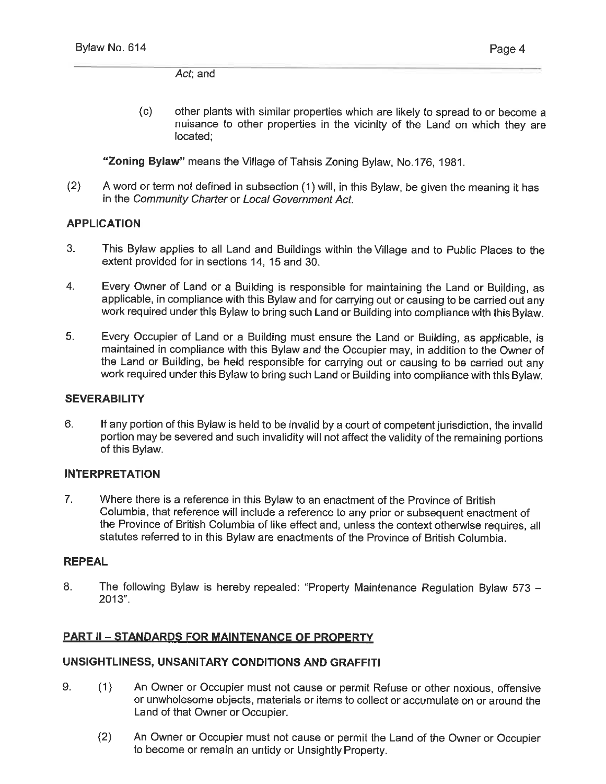Act; and

(c) other plants with similar properties which are likely to spread to or become a nuisance to other properties in the vicinity of the Land on which they are located;

"Zoning Bylaw" means the Village of Tahsis Zoning Bylaw, No.176, 1981.

(2) A word or term not defined in subsection (1) will, in this Bylaw, be given the meaning it has in the Community Charter or Local Government Act.

## APPLICATION

- 3. This Bylaw applies to all Land and Buildings within the Village and to Public Places to the extent provided for in sections 14, 15 and 30.
- 4. Every Owner of Land or a Building is responsible for maintaining the Land or Building, as applicable, in compliance with this Bylaw and for carrying out or causing to be carried out any work required under this Bylaw to bring such Land or Building into compliance with this Bylaw.
- 5. Every Occupier of Land or a Building must ensure the Land or Building, as applicable, is maintained in compliance with this Bylaw and the Occupier may, in addition to the Owner of the Land or Building, be held responsible for carrying out or causing to be carried out any work required under this Bylaw to bring such Land or Building into compliance with this Bylaw.

## **SEVERABILITY**

6. If any portion of this Bylaw is held to be invalid by a court of competent jurisdiction, the invalid portion may be severed and such invalidity will not affect the validity of the remaining portions of this Bylaw.

## INTERPRETATION

7. Where there is a reference in this Bylaw to an enactment of the Province of British Columbia, that reference will include a reference to any prior or subsequent enactment of the Province of British Columbia of like effect and, unless the context otherwise requires, all statutes referred to in this Bylaw are enactments of the Province of British Columbia.

## REPEAL

8. The following Bylaw is hereby repealed: "Property Maintenance Regulation Bylaw 573 - 2013".

## **PART II - STANDARDS FOR MAINTENANCE OF PROPERTY**

## UNSIGHTLINESS, UNSANITARY CONDITIONS AND GRAFFITI

- 9. (1) An Owner or Occupier must not cause or permit Refuse or other noxious, offensive or unwholesome objects, materials or items to collect or accumulate on or around the Land of that Owner or Occupier.
	- (2) An Owner or Occupier must not cause or permit the Land of the Owner or Occupier to become or remain an untidy or Unsightly Property.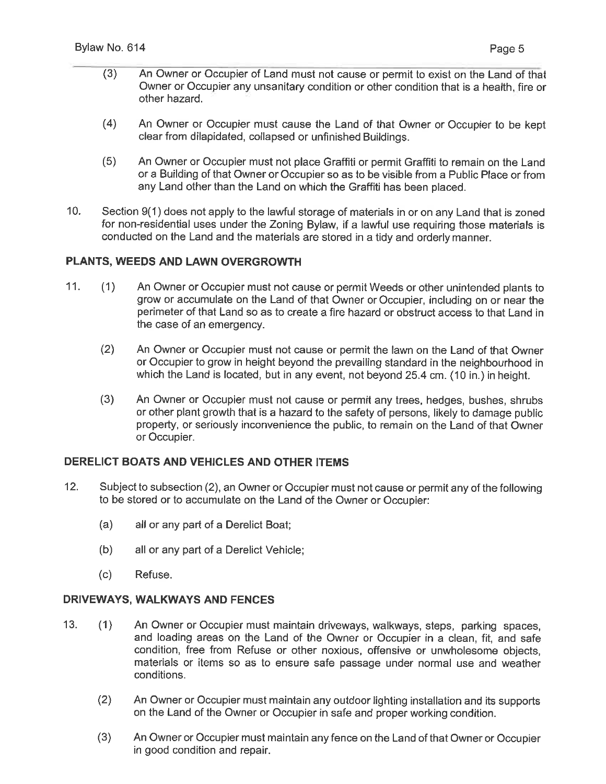- (3) An Owner or Occupier of Land must not cause or permit to exist on the Land of that Owner or Occupier any unsanitary condition or other condition that is a health, fire or other hazard.
- (4) An Owner or Occupier must cause the Land of that Owner or Occupier to be kept clear from dilapidated, collapsed or unfinished Buildings.
- (5) An Owner or Occupier must not place Graffiti or permit Graffiti to remain on the Land or a Building of that Owner or Occupier so as to be visible from a Public Place or from any Land other than the Land on which the Graffiti has been placed.
- 10. Section 9(1) does not apply to the lawful storage of materials in or on any Land that is zoned for non-residential uses under the Zoning Bylaw, if a lawful use requiring those materials is conducted on the Land and the materials are stored in a tidy and orderly manner.

## PLANTS, WEEDS AND LAWN OVERGROWTH

- 11. (1) An Owner or Occupier must not cause or permit Weeds or other unintended plants to grow or accumulate on the Land of that Owner or Occupier, including on or near the perimeter of that Land so as to create a fire hazard or obstruct access to that Land in the case of an emergency.
	- (2) An Owner or Occupier must not cause or permit the lawn on the Land of that Owner or Occupier to grow in height beyond the prevailing standard in the neighbourhood in which the Land is located, but in any event, not beyond 25.4 cm. (10 in.) in height.
	- (3) An Owner or Occupier must not cause or permit any trees, hedges, bushes, shrubs or other plant growth that is a hazard to the safety of persons, likely to damage public property, or seriously inconvenience the public, to remain on the Land of that Owner or Occupier.

## DERELICT BOATS AND VEHICLES AND OTHER ITEMS

- 12. Subject to subsection (2), an Owner or Occupier must not cause or permit any of the following to be stored or to accumulate on the Land of the Owner or Occupier:
	- (a) all or any part of a Derelict Boat;
	- (b) all or any part of a Derelict Vehicle;
	- (c) Refuse.

## DRIVEWAYS, WALKWAYS AND FENCES

- 13. (1) An Owner or Occupier must maintain driveways, walkways, steps, parking spaces, and loading areas on the Land of the Owner or Occupier in a clean, fit, and safe condition, free from Refuse or other noxious, offensive or unwholesome objects, materials or items so as to ensure safe passage under normal use and weather conditions.
	- (2) An Owner or Occupier must maintain any outdoor lighting installation and its supports on the Land of the Owner or Occupier in safe and proper working condition.
	- (3) An Owner or Occupier must maintain any fence on the Land of that Owner or Occupier in good condition and repair.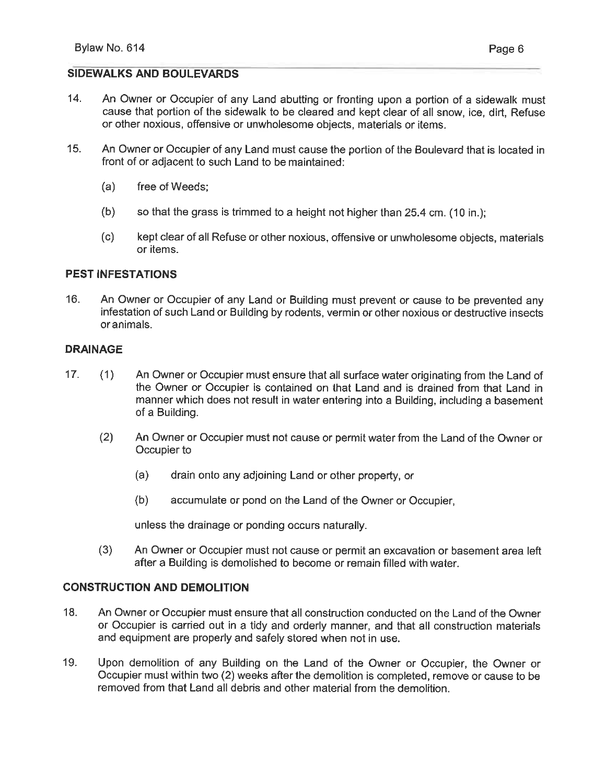## SIDEWALKS AND BOULEVARDS

- 14. An Owner or Occupier of any Land abutting or fronting upon a portion of a sidewalk must cause that portion of the sidewalk to be cleared and kept clear of all snow, ice, dirt, Refuse or other noxious, offensive or unwholesome objects, materials or items.
- 15. An Owner or Occupier of any Land must cause the portion of the Boulevard that is located in front of or adjacent to such Land to be maintained:
	- (a) free of Weeds;
	- (b) so that the grass is trimmed to a height not higher than 25.4 cm. (10 in. );
	- (c) kept clear of all Refuse or other noxious, offensive or unwholesome objects, materials or items.

## PEST INFESTATIONS

16. An Owner or Occupier of any Land or Building must prevent or cause to be prevented any infestation of such Land or Building by rodents, vermin or other noxious or destructive insects or animals.

## DRAINAGE

- 17. (1) An Owner or Occupier must ensure that all surface water originating from the Land of the Owner or Occupier is contained on that Land and is drained from that Land in manner which does not result in water entering into a Building, including a basement of a Building.
	- (2) An Owner or Occupier must not cause or permit water from the Land of the Owner or Occupier to
		- (a) drain onto any adjoining Land or other property, or
		- (b) accumulate or pond on the Land of the Owner or Occupier,

unless the drainage or ponding occurs naturally.

(3) An Owner or Occupier must not cause or permit an excavation or basement area left after a Building is demolished to become or remain filled with water.

## CONSTRUCTION AND DEMOLITION

- 18. An Owner or Occupier must ensure that all construction conducted on the Land of the Owner or Occupier is carried out in a tidy and orderly manner, and that all construction materials and equipment are properly and safely stored when not in use.
- 19. Upon demolition of any Building on the Land of the Owner or Occupier, the Owner or Occupier must within two (2) weeks after the demolition is completed, remove or cause to be removed from that Land all debris and other material from the demolition.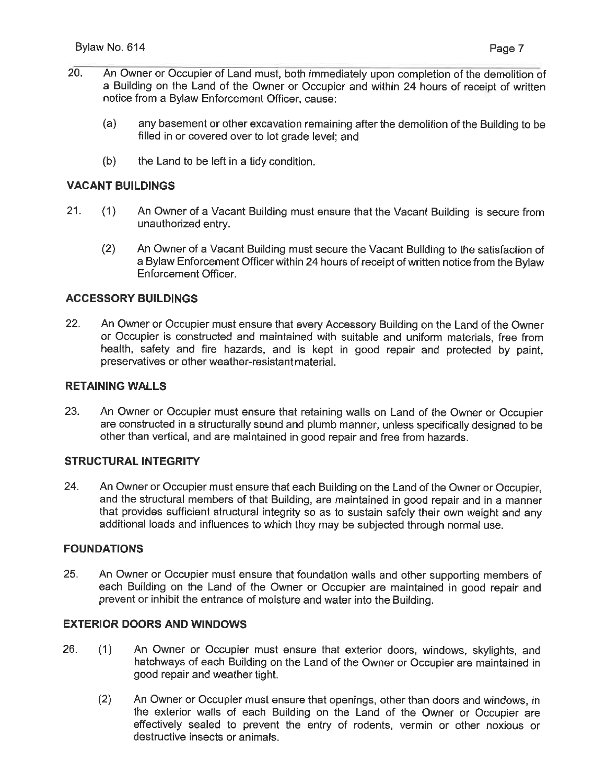- 20. An Owner or Occupier of Land must, both immediately upon completion of the demolition of a Building on the Land of the Owner or Occupier and within 24 hours of receipt of written notice from a Bylaw Enforcement Officer, cause:
	- (a) any basement or other excavation remaining after the demolition of the Building to be filled in or covered over to lot grade level; and
	- (b) the Land to be left in a tidy condition.

#### VACANT BUILDINGS

- 21. (1) An Owner of a Vacant Building must ensure that the Vacant Building is secure from unauthorized entry.
	- (2) An Owner of a Vacant Building must secure the Vacant Building to the satisfaction of a Bylaw Enforcement Officer within 24 hours of receipt of written notice from the Bylaw Enforcement Officer.

#### ACCESSORY BUILDINGS

22. An Owner or Occupier must ensure that every Accessory Building on the Land of the Owner or Occupier is constructed and maintained with suitable and uniform materials, free from health, safety and fire hazards, and is kept in good repair and protected by paint, preservatives or other weather-resistant material.

#### RETAINING WALLS

23. An Owner or Occupier must ensure that retaining walls on Land of the Owner or Occupier are constructed in a structurally sound and plumb manner, unless specifically designed to be other than vertical, and are maintained in good repair and free from hazards.

#### STRUCTURAL INTEGRITV

24. An Owner or Occupier must ensure that each Building on the Land of the Owner or Occupier, and the structural members of that Building, are maintained in good repair and in a manner that provides sufficient structural integrity so as to sustain safely their own weight and any additional loads and influences to which they may be subjected through normal use.

#### FOUNDATIONS

25. An Owner or Occupier must ensure that foundation walls and other supporting members of each Building on the Land of the Owner or Occupier are maintained in good repair and prevent or inhibit the entrance of moisture and water into the Building.

#### EXTERIOR DOORS AND WINDOWS

- 26. (1) An Owner or Occupier must ensure that exterior doors, windows, skylights, and hatchways of each Building on the Land of the Owner or Occupier are maintained in good repair and weather tight.
	- (2) An Owner or Occupier must ensure that openings, other than doors and windows, in the exterior walls of each Building on the Land of the Owner or Occupier are effectively sealed to prevent the entry of rodents, vermin or other noxious or destructive insects or animals.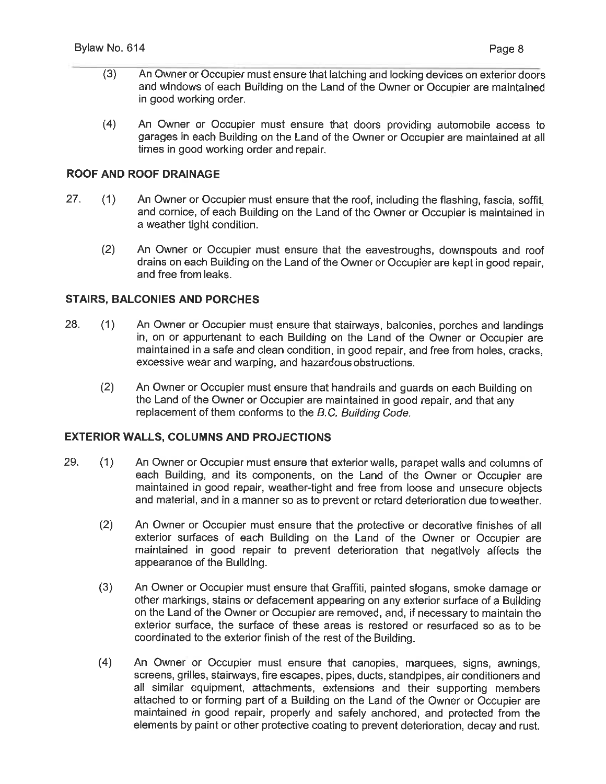- (3) An Owner or Occupier must ensure that latching and locking devices on exterior doors and windows of each Building on the Land of the Owner or Occuoier are maintained in good working order.
- (4) An Owner or Occupier must ensure that doors providing automobile access to garages in each Building on the Land of the Owner or Occupier are maintained at all times in good working order and repair.

### ROOF AND ROOF DRAINAGE

- 27. (1) An Owner or Occupier must ensure that the roof, including the flashing, fascia, soffit, and cornice, of each Building on the Land of the Owner or Occupier is maintained in a weather tight condition.
	- (2) An Owner or Occupier must ensure that the eavestroughs, downspouts and roof drains on each Building on the Land of the Owner or Occupier are kept in good repair, and free from leaks.

#### STAIRS, BALCONIES AND PORCHES

- 28. (1) An Owner or Occupier must ensure that stairways, balconies, porches and landings in, on or appurtenant to each Building on the Land of the Owner or Occupier are maintained in a safe and clean condition, in good repair, and free from holes, cracks, excessive wear and warping, and hazardous obstructions.
	- (2) An Owner or Occupier must ensure that handrails and guards on each Building on the Land of the Owner or Occupier are maintained in good repair, and that any replacement of them conforms to the B.C. Building Code.

## EXTERIOR WALLS, COLUMNS AND PROJECTIONS

- 29. (1) An Owner or Occupier must ensure that exterior walls, parapet walls and columns of each Building, and its components, on the Land of the Owner or Occupier are maintained in good repair, weather-tight and free from loose and unsecure objects and material, and in a manner so as to prevent or retard deterioration due to weather.
	- (2) An Owner or Occupier must ensure that the protective or decorative finishes of all exterior surfaces of each Building on the Land of the Owner or Occupier are maintained in good repair to prevent deterioration that negatively affects the appearance of the Building.
	- (3) An Owner or Occupier must ensure that Graffiti, painted slogans, smoke damage or other markings, stains or defacement appearing on any exterior surface of a Building on the Land of the Owner or Occupier are removed, and, if necessary to maintain the exterior surface, the surface of these areas is restored or resurfaced so as to be coordinated to the exterior finish of the rest of the Building.
	- (4) An Owner or Occupier must ensure that canopies, marquees, signs, awnings, screens, grilles, stairways, fire escapes, pipes, ducts, standpipes, air conditioners and all similar equipment, attachments, extensions and their supporting members attached to or forming part of a Building on the Land of the Owner or Occupier are maintained in good repair, properly and safely anchored, and protected from the elements by paint or other protective coating to prevent deterioration, decay and rust.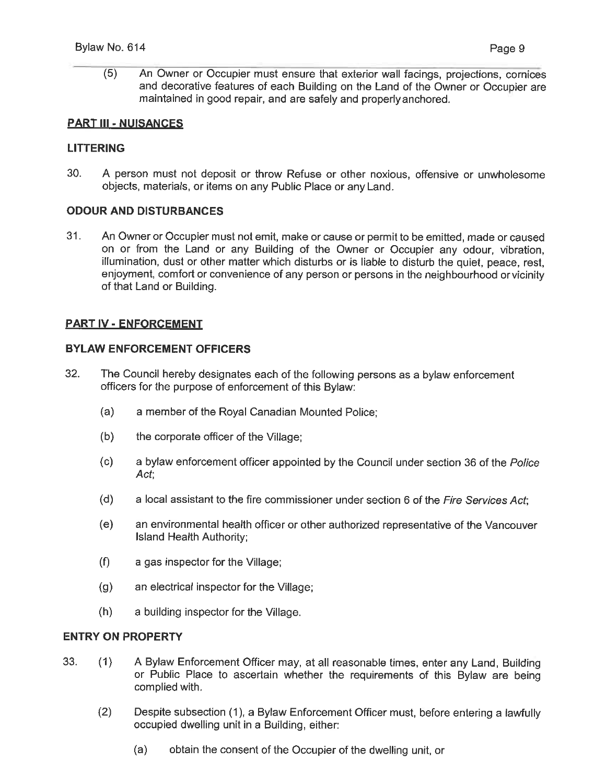(5) An Owner or Occupier must ensure that exterior wall facings, projections, cornices and decorative features of each Building on the Land of the Owner or Occupier are maintained in good repair, and are safely and properly anchored.

### PART III - NUISANCES

#### LITTERING

30. A person must not deposit or throw Refuse or other noxious, offensive or unwholesome objects, materials, or items on any Public Place or any Land.

#### ODOUR AND DISTURBANCES

31. An Owner or Occupier must not emit, make or cause or permit to be emitted, made or caused on or from the Land or any Building of the Owner or Occupier any odour, vibration, illumination, dust or other matter which disturbs or is liable to disturb the quiet, peace, rest, enjoyment, comfort or convenience of any person or persons in the neighbourhood or vicinity of that Land or Building.

## PART IV - ENFORCEMENT

### BYLAW ENFORCEMENT OFFICERS

- 32. The Council hereby designates each of the following persons as a bylaw enforcement officers for the purpose of enforcement of this Bylaw:
	- (a) a member of the Royal Canadian Mounted Police;
	- (b) the corporate officer of the Village;
	- (c) a bylaw enforcement officer appointed by the Council under section 36 of the Police Act;
	- $(d)$  a local assistant to the fire commissioner under section 6 of the Fire Services Act;
	- (e) an environmental health officer or other authorized representative of the Vancouver Island Health Authority;
	- (f) a gas inspector for the Village;
	- (g) an electrical inspector for the Village;
	- (h) a building inspector for the Village.

#### ENTRY ON PROPERTV

- 33. (1) A Bylaw Enforcement Officer may, at all reasonable times, enter any Land, Building or Public Place to ascertain whether the requirements of this Bylaw are being complied with.
	- (2) Despite subsection (1), a Bylaw Enforcement Officer must, before entering a lawfully occupied dwelling unit in a Building, either:
		- (a) obtain the consent of the Occupier of the dwelling unit, or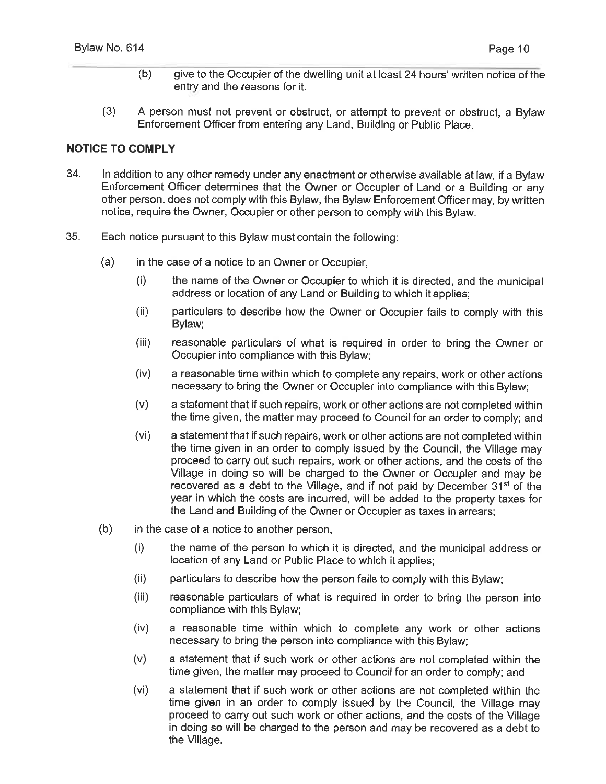- (b) give to the Occupier of the dwelling unit at least 24 hours' written notice of the entry and the reasons for it.
- (3) A person must not prevent or obstruct, or attempt to prevent or obstruct, a Bylaw Enforcement Officer from entering any Land, Building or Public Place.

## NOTICE TO COMPLY

- 34. In addition to any other remedy under any enactment or otherwise available at law, if a Bylaw Enforcement Officer determines that the Owner or Occupier of Land or a Building or any other person, does not comply with this Bylaw, the Bylaw Enforcement Officer may, by written notice, require the Owner, Occupier or other person to comply with this Bylaw.
- 35. Each notice pursuant to this Bylaw must contain the following:
	- (a) in the case of a notice to an Owner or Occupier,
		- (i) the name of the Owner or Occupier to which it is directed, and the municipal address or location of any Land or Building to which it applies;
		- (ii) particulars to describe how the Owner or Occupier fails to comply with this Bylaw;
		- (iii) reasonable particulars of what is required in order to bring the Owner or Occupier into compliance with this Bylaw;
		- (iv) a reasonable time within which to complete any repairs, work or other actions necessary to bring the Owner or Occupier into compliance with this Bylaw;
		- (v) a statement that if such repairs, work or other actions are not completed within the time given, the matter may proceed to Council for an order to comply; and
		- (vi) a statement that if such repairs, work or other actions are not completed within the time given in an order to comply issued by the Council, the Village may proceed to carry out such repairs, work or other actions, and the costs of the Village in doing so will be charged to the Owner or Occupier and may be recovered as a debt to the Village, and if not paid by December 31<sup>st</sup> of the year in which the costs are incurred, will be added to the property taxes for the Land and Building of the Owner or Occupier as taxes in arrears;
	- (b) in the case of a notice to another person,
		- (i) the name of the person to which it is directed, and the municipal address or location of any Land or Public Place to which it applies;
		- (ii) particulars to describe how the person fails to comply with this Bylaw;
		- (iii) reasonable particulars of what is required in order to bring the person into compliance with this Bylaw;
		- (iv) a reasonable time within which to complete any work or other actions necessary to bring the person into compliance with this Bylaw;
		- (v) a statement that if such work or other actions are not completed within the time given, the matter may proceed to Council for an order to comply; and
		- (vi) a statement that if such work or other actions are not completed within the time given in an order to comply issued by the Council, the Village may proceed to carry out such work or other actions, and the costs of the Village in doing so will be charged to the person and may be recovered as a debt to the Village.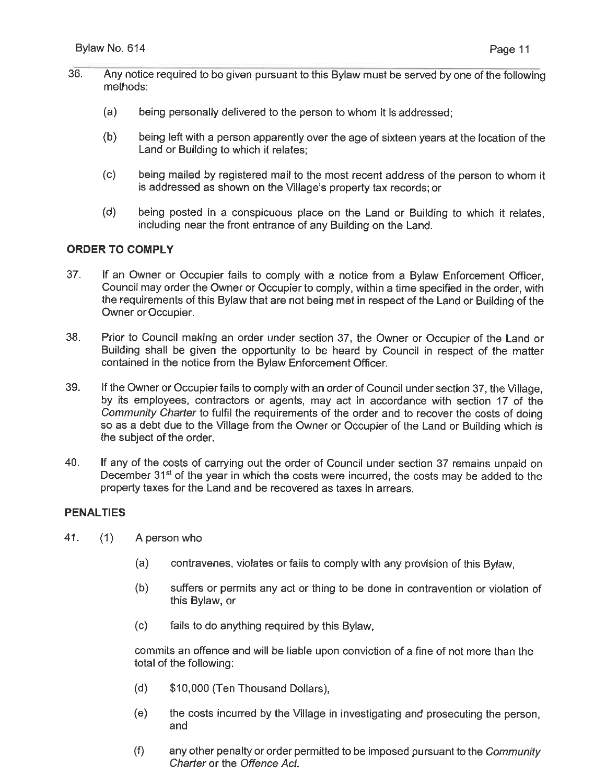- 36. Any notice required to be given pursuant to this Bylaw must be served by one of the following methods:
	- (a) being personally delivered to the person to whom it is addressed;
	- (b) being left with a person apparently over the age of sixteen years at the location of the Land or Building to which it relates;
	- (c) being mailed by registered mail to the most recent address of the person to whom it is addressed as shown on the Village's property tax records; or
	- (d) being posted in a conspicuous place on the Land or Building to which it relates, including near the front entrance of any Building on the Land.

## ORDER TO COMPLY

- 37. If an Owner or Occupier fails to comply with a notice from a Bylaw Enforcement Officer, Council may order the Owner or Occupier to comply, within a time specified in the order, with the requirements of this Bylaw that are not being met in respect of the Land or Building of the Owner or Occupier.
- 38. Prior to Council making an order under section 37, the Owner or Occupier of the Land or Building shall be given the opportunity to be heard by Council in respect of the matter contained in the notice from the Bylaw Enforcement Officer.
- 39. If the Owner or Occupier fails to comply with an order of Council under section 37, the Village, by its employees, contractors or agents, may act in accordance with section 17 of the Community Charter to fulfil the requirements of the order and to recover the costs of doing so as a debt due to the Village from the Owner or Occupier of the Land or Building which is the subject of the order.
- 40. If any of the costs of carrying out the order of Council under section 37 remains unpaid on December 31<sup>st</sup> of the year in which the costs were incurred, the costs may be added to the property taxes for the Land and be recovered as taxes in arrears.

## PENALTIES

- 41. (1) A person who
	- (a) contravenes, violates or fails to comply with any provision of this Bylaw,
	- (b) suffers or permits any act or thing to be done in contravention or violation of this Bylaw, or
	- (c) fails to do anything required by this Bylaw,

commits an offence and will be liable upon conviction of a fine of not more than the total of the following:

- (d) \$10,000 (Ten Thousand Dollars),
- (e) the costs incurred by the Village in investigating and prosecuting the person, and
- (f) any other penalty or order permitted to be imposed pursuant to the Community Charter or the Offence Act.